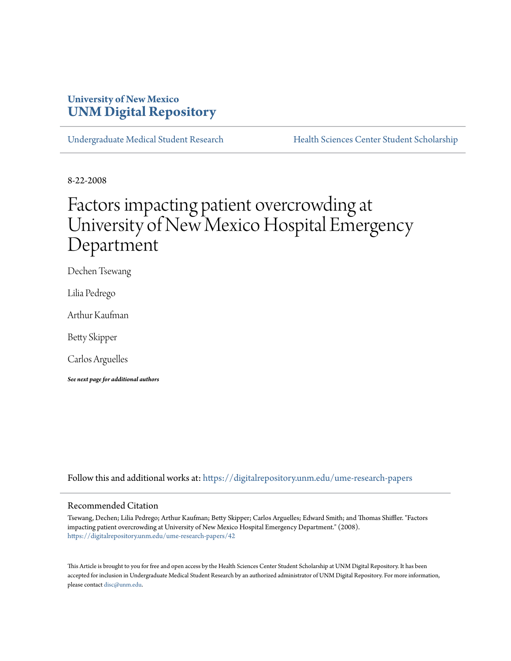## **University of New Mexico [UNM Digital Repository](https://digitalrepository.unm.edu?utm_source=digitalrepository.unm.edu%2Fume-research-papers%2F42&utm_medium=PDF&utm_campaign=PDFCoverPages)**

[Undergraduate Medical Student Research](https://digitalrepository.unm.edu/ume-research-papers?utm_source=digitalrepository.unm.edu%2Fume-research-papers%2F42&utm_medium=PDF&utm_campaign=PDFCoverPages) [Health Sciences Center Student Scholarship](https://digitalrepository.unm.edu/hsc-students?utm_source=digitalrepository.unm.edu%2Fume-research-papers%2F42&utm_medium=PDF&utm_campaign=PDFCoverPages)

8-22-2008

## Factors impacting patient overcrowding at University of New Mexico Hospital Emergency Department

Dechen Tsewang

Lilia Pedrego

Arthur Kaufman

Betty Skipper

Carlos Arguelles

*See next page for additional authors*

Follow this and additional works at: [https://digitalrepository.unm.edu/ume-research-papers](https://digitalrepository.unm.edu/ume-research-papers?utm_source=digitalrepository.unm.edu%2Fume-research-papers%2F42&utm_medium=PDF&utm_campaign=PDFCoverPages)

#### Recommended Citation

Tsewang, Dechen; Lilia Pedrego; Arthur Kaufman; Betty Skipper; Carlos Arguelles; Edward Smith; and Thomas Shiffler. "Factors impacting patient overcrowding at University of New Mexico Hospital Emergency Department." (2008). [https://digitalrepository.unm.edu/ume-research-papers/42](https://digitalrepository.unm.edu/ume-research-papers/42?utm_source=digitalrepository.unm.edu%2Fume-research-papers%2F42&utm_medium=PDF&utm_campaign=PDFCoverPages)

This Article is brought to you for free and open access by the Health Sciences Center Student Scholarship at UNM Digital Repository. It has been accepted for inclusion in Undergraduate Medical Student Research by an authorized administrator of UNM Digital Repository. For more information, please contact [disc@unm.edu.](mailto:disc@unm.edu)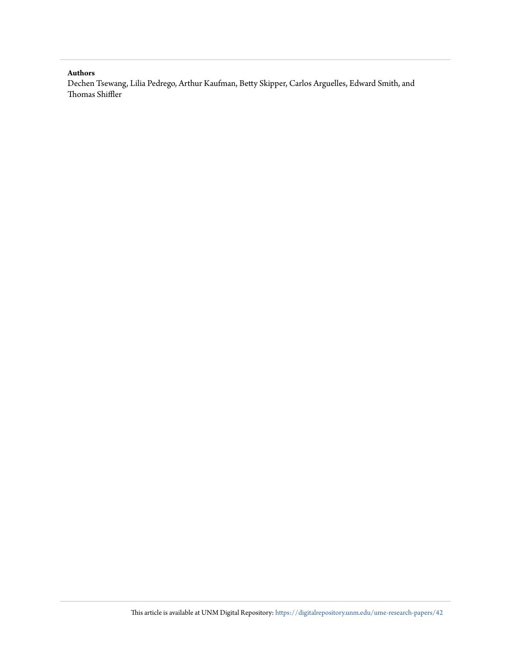#### **Authors**

Dechen Tsewang, Lilia Pedrego, Arthur Kaufman, Betty Skipper, Carlos Arguelles, Edward Smith, and Thomas Shiffler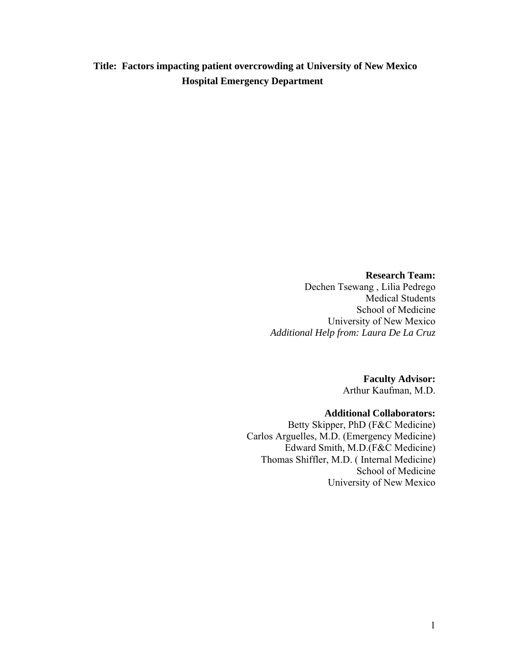**Title: Factors impacting patient overcrowding at University of New Mexico Hospital Emergency Department**

> **Research Team:**  Dechen Tsewang , Lilia Pedrego Medical Students School of Medicine University of New Mexico *Additional Help from: Laura De La Cruz*

> > **Faculty Advisor:**  Arthur Kaufman, M.D.

#### **Additional Collaborators:**

Betty Skipper, PhD (F&C Medicine) Carlos Arguelles, M.D. (Emergency Medicine) Edward Smith, M.D.(F&C Medicine) Thomas Shiffler, M.D. ( Internal Medicine) School of Medicine University of New Mexico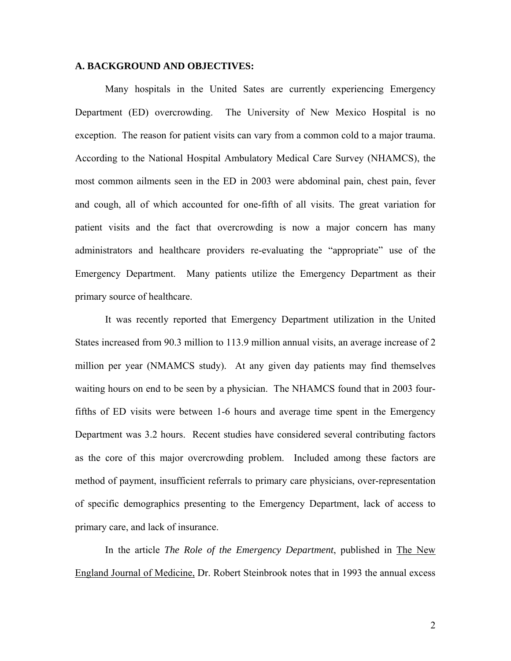#### **A. BACKGROUND AND OBJECTIVES:**

Many hospitals in the United Sates are currently experiencing Emergency Department (ED) overcrowding. The University of New Mexico Hospital is no exception. The reason for patient visits can vary from a common cold to a major trauma. According to the National Hospital Ambulatory Medical Care Survey (NHAMCS), the most common ailments seen in the ED in 2003 were abdominal pain, chest pain, fever and cough, all of which accounted for one-fifth of all visits. The great variation for patient visits and the fact that overcrowding is now a major concern has many administrators and healthcare providers re-evaluating the "appropriate" use of the Emergency Department. Many patients utilize the Emergency Department as their primary source of healthcare.

It was recently reported that Emergency Department utilization in the United States increased from 90.3 million to 113.9 million annual visits, an average increase of 2 million per year (NMAMCS study). At any given day patients may find themselves waiting hours on end to be seen by a physician. The NHAMCS found that in 2003 fourfifths of ED visits were between 1-6 hours and average time spent in the Emergency Department was 3.2 hours. Recent studies have considered several contributing factors as the core of this major overcrowding problem. Included among these factors are method of payment, insufficient referrals to primary care physicians, over-representation of specific demographics presenting to the Emergency Department, lack of access to primary care, and lack of insurance.

In the article *The Role of the Emergency Department*, published in The New England Journal of Medicine, Dr. Robert Steinbrook notes that in 1993 the annual excess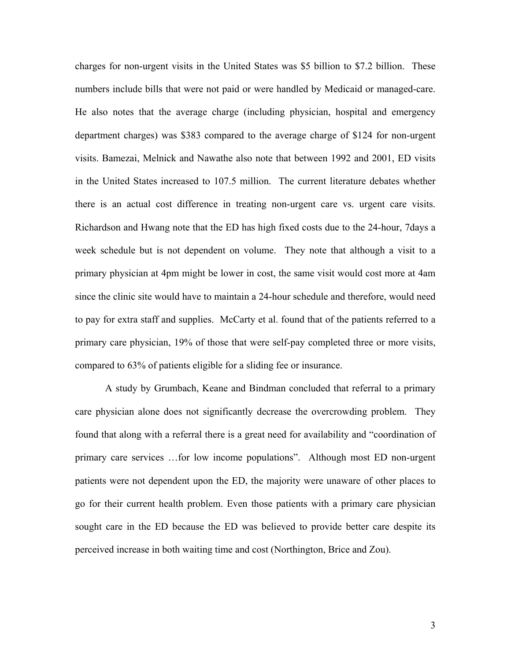charges for non-urgent visits in the United States was \$5 billion to \$7.2 billion. These numbers include bills that were not paid or were handled by Medicaid or managed-care. He also notes that the average charge (including physician, hospital and emergency department charges) was \$383 compared to the average charge of \$124 for non-urgent visits. Bamezai, Melnick and Nawathe also note that between 1992 and 2001, ED visits in the United States increased to 107.5 million. The current literature debates whether there is an actual cost difference in treating non-urgent care vs. urgent care visits. Richardson and Hwang note that the ED has high fixed costs due to the 24-hour, 7days a week schedule but is not dependent on volume. They note that although a visit to a primary physician at 4pm might be lower in cost, the same visit would cost more at 4am since the clinic site would have to maintain a 24-hour schedule and therefore, would need to pay for extra staff and supplies. McCarty et al. found that of the patients referred to a primary care physician, 19% of those that were self-pay completed three or more visits, compared to 63% of patients eligible for a sliding fee or insurance.

 A study by Grumbach, Keane and Bindman concluded that referral to a primary care physician alone does not significantly decrease the overcrowding problem. They found that along with a referral there is a great need for availability and "coordination of primary care services …for low income populations". Although most ED non-urgent patients were not dependent upon the ED, the majority were unaware of other places to go for their current health problem. Even those patients with a primary care physician sought care in the ED because the ED was believed to provide better care despite its perceived increase in both waiting time and cost (Northington, Brice and Zou).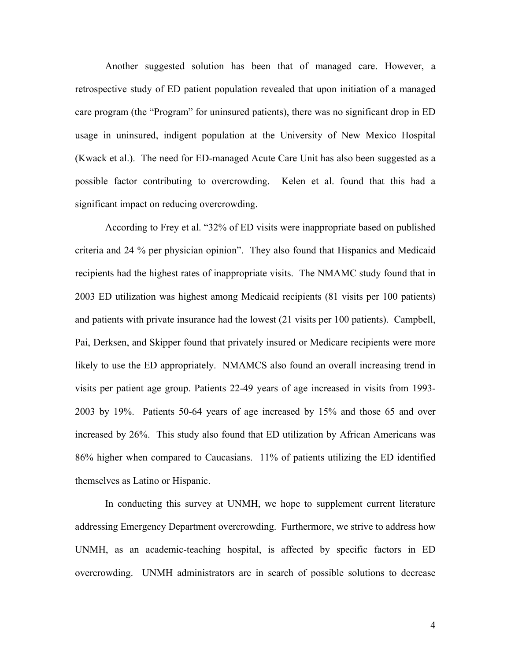Another suggested solution has been that of managed care. However, a retrospective study of ED patient population revealed that upon initiation of a managed care program (the "Program" for uninsured patients), there was no significant drop in ED usage in uninsured, indigent population at the University of New Mexico Hospital (Kwack et al.). The need for ED-managed Acute Care Unit has also been suggested as a possible factor contributing to overcrowding. Kelen et al. found that this had a significant impact on reducing overcrowding.

 According to Frey et al. "32% of ED visits were inappropriate based on published criteria and 24 % per physician opinion". They also found that Hispanics and Medicaid recipients had the highest rates of inappropriate visits. The NMAMC study found that in 2003 ED utilization was highest among Medicaid recipients (81 visits per 100 patients) and patients with private insurance had the lowest (21 visits per 100 patients). Campbell, Pai, Derksen, and Skipper found that privately insured or Medicare recipients were more likely to use the ED appropriately. NMAMCS also found an overall increasing trend in visits per patient age group. Patients 22-49 years of age increased in visits from 1993- 2003 by 19%. Patients 50-64 years of age increased by 15% and those 65 and over increased by 26%. This study also found that ED utilization by African Americans was 86% higher when compared to Caucasians. 11% of patients utilizing the ED identified themselves as Latino or Hispanic.

 In conducting this survey at UNMH, we hope to supplement current literature addressing Emergency Department overcrowding. Furthermore, we strive to address how UNMH, as an academic-teaching hospital, is affected by specific factors in ED overcrowding. UNMH administrators are in search of possible solutions to decrease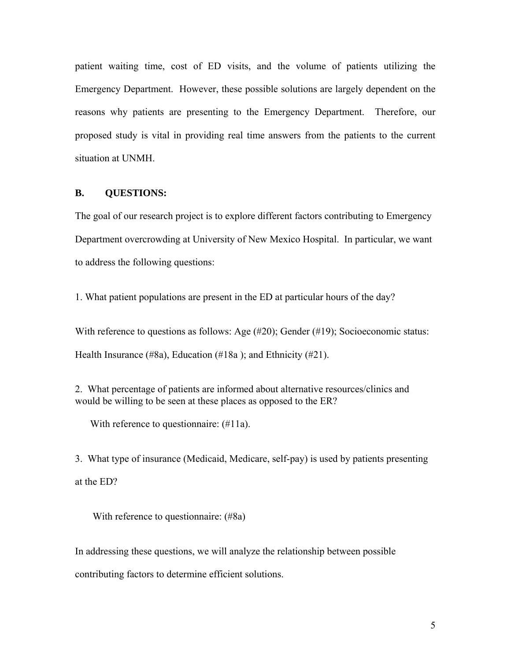patient waiting time, cost of ED visits, and the volume of patients utilizing the Emergency Department. However, these possible solutions are largely dependent on the reasons why patients are presenting to the Emergency Department. Therefore, our proposed study is vital in providing real time answers from the patients to the current situation at UNMH.

#### **B. QUESTIONS:**

The goal of our research project is to explore different factors contributing to Emergency Department overcrowding at University of New Mexico Hospital. In particular, we want to address the following questions:

1. What patient populations are present in the ED at particular hours of the day?

With reference to questions as follows: Age (#20); Gender (#19); Socioeconomic status:

Health Insurance (#8a), Education (#18a ); and Ethnicity (#21).

2. What percentage of patients are informed about alternative resources/clinics and would be willing to be seen at these places as opposed to the ER?

With reference to questionnaire: (#11a).

3. What type of insurance (Medicaid, Medicare, self-pay) is used by patients presenting at the ED?

With reference to questionnaire: (#8a)

In addressing these questions, we will analyze the relationship between possible contributing factors to determine efficient solutions.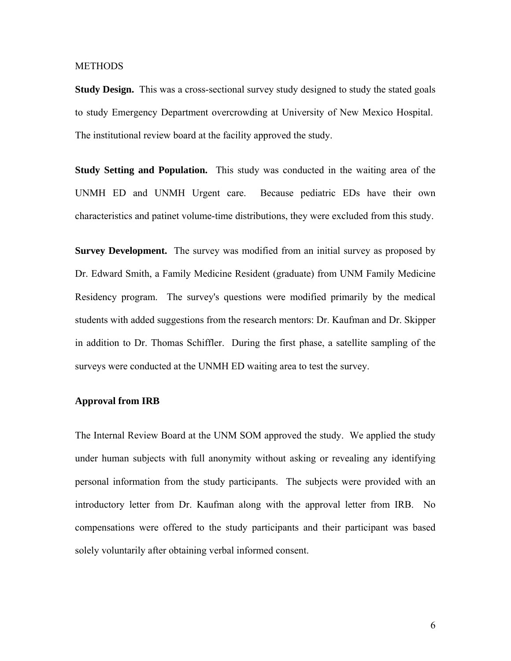#### **METHODS**

**Study Design.** This was a cross-sectional survey study designed to study the stated goals to study Emergency Department overcrowding at University of New Mexico Hospital. The institutional review board at the facility approved the study.

**Study Setting and Population.** This study was conducted in the waiting area of the UNMH ED and UNMH Urgent care. Because pediatric EDs have their own characteristics and patinet volume-time distributions, they were excluded from this study.

**Survey Development.** The survey was modified from an initial survey as proposed by Dr. Edward Smith, a Family Medicine Resident (graduate) from UNM Family Medicine Residency program. The survey's questions were modified primarily by the medical students with added suggestions from the research mentors: Dr. Kaufman and Dr. Skipper in addition to Dr. Thomas Schiffler. During the first phase, a satellite sampling of the surveys were conducted at the UNMH ED waiting area to test the survey.

#### **Approval from IRB**

The Internal Review Board at the UNM SOM approved the study. We applied the study under human subjects with full anonymity without asking or revealing any identifying personal information from the study participants. The subjects were provided with an introductory letter from Dr. Kaufman along with the approval letter from IRB. No compensations were offered to the study participants and their participant was based solely voluntarily after obtaining verbal informed consent.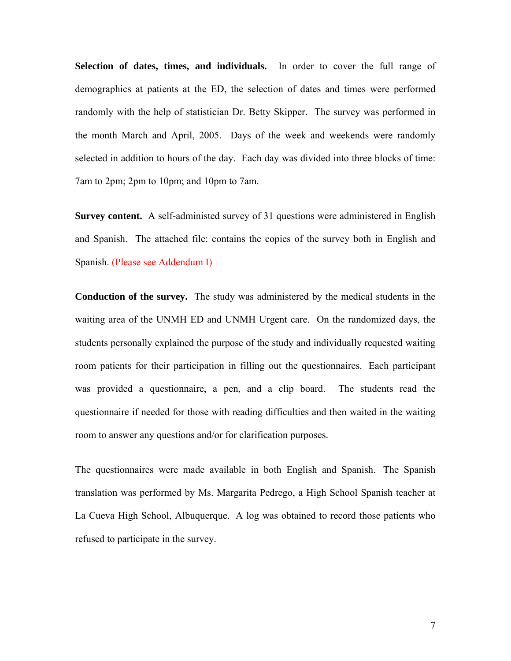**Selection of dates, times, and individuals.** In order to cover the full range of demographics at patients at the ED, the selection of dates and times were performed randomly with the help of statistician Dr. Betty Skipper. The survey was performed in the month March and April, 2005. Days of the week and weekends were randomly selected in addition to hours of the day. Each day was divided into three blocks of time: 7am to 2pm; 2pm to 10pm; and 10pm to 7am.

**Survey content.** A self-administed survey of 31 questions were administered in English and Spanish. The attached file: contains the copies of the survey both in English and Spanish. (Please see Addendum I)

**Conduction of the survey.** The study was administered by the medical students in the waiting area of the UNMH ED and UNMH Urgent care. On the randomized days, the students personally explained the purpose of the study and individually requested waiting room patients for their participation in filling out the questionnaires. Each participant was provided a questionnaire, a pen, and a clip board. The students read the questionnaire if needed for those with reading difficulties and then waited in the waiting room to answer any questions and/or for clarification purposes.

The questionnaires were made available in both English and Spanish. The Spanish translation was performed by Ms. Margarita Pedrego, a High School Spanish teacher at La Cueva High School, Albuquerque. A log was obtained to record those patients who refused to participate in the survey.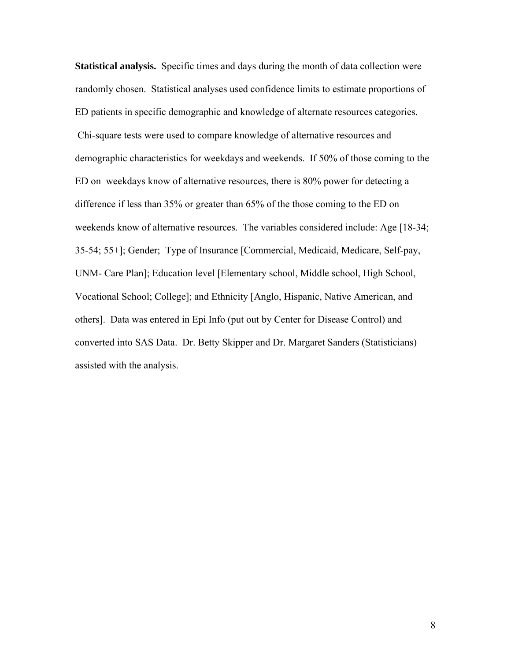**Statistical analysis.** Specific times and days during the month of data collection were randomly chosen. Statistical analyses used confidence limits to estimate proportions of ED patients in specific demographic and knowledge of alternate resources categories. Chi-square tests were used to compare knowledge of alternative resources and demographic characteristics for weekdays and weekends. If 50% of those coming to the ED on weekdays know of alternative resources, there is 80% power for detecting a difference if less than 35% or greater than 65% of the those coming to the ED on weekends know of alternative resources. The variables considered include: Age [18-34; 35-54; 55+]; Gender; Type of Insurance [Commercial, Medicaid, Medicare, Self-pay, UNM- Care Plan]; Education level [Elementary school, Middle school, High School, Vocational School; College]; and Ethnicity [Anglo, Hispanic, Native American, and others]. Data was entered in Epi Info (put out by Center for Disease Control) and converted into SAS Data. Dr. Betty Skipper and Dr. Margaret Sanders (Statisticians) assisted with the analysis.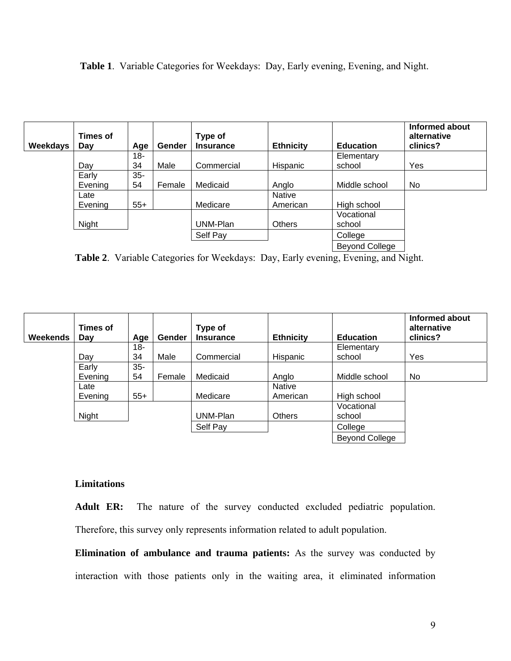**Table 1**. Variable Categories for Weekdays: Day, Early evening, Evening, and Night.

| Weekdays | Times of<br>Day | Age    | Gender | Type of<br><b>Insurance</b> | <b>Ethnicity</b> | <b>Education</b>      | Informed about<br>alternative<br>clinics? |
|----------|-----------------|--------|--------|-----------------------------|------------------|-----------------------|-------------------------------------------|
|          |                 | 18-    |        |                             |                  | Elementary            |                                           |
|          | Dav             | 34     | Male   | Commercial                  | Hispanic         | school                | Yes                                       |
|          | Early           | $35 -$ |        |                             |                  |                       |                                           |
|          | Evening         | 54     | Female | Medicaid                    | Anglo            | Middle school         | No                                        |
|          | Late            |        |        |                             | Native           |                       |                                           |
|          | Evening         | $55+$  |        | Medicare                    | American         | High school           |                                           |
|          |                 |        |        |                             |                  | Vocational            |                                           |
|          | Night           |        |        | UNM-Plan                    | <b>Others</b>    | school                |                                           |
|          |                 |        |        | Self Pay                    |                  | College               |                                           |
|          |                 |        |        |                             |                  | <b>Beyond College</b> |                                           |

**Table 2**. Variable Categories for Weekdays: Day, Early evening, Evening, and Night.

| Weekends | Times of<br>Day | Age    | <b>Gender</b> | Type of<br><b>Insurance</b> | <b>Ethnicity</b> | <b>Education</b>      | Informed about<br>alternative<br>clinics? |
|----------|-----------------|--------|---------------|-----------------------------|------------------|-----------------------|-------------------------------------------|
|          |                 | 18-    |               |                             |                  | Elementary            |                                           |
|          | Day             | 34     | Male          | Commercial                  | Hispanic         | school                | Yes                                       |
|          | Early           | $35 -$ |               |                             |                  |                       |                                           |
|          | Evening         | 54     | Female        | Medicaid                    | Anglo            | Middle school         | No                                        |
|          | Late            |        |               |                             | <b>Native</b>    |                       |                                           |
|          | Evening         | $55+$  |               | Medicare                    | American         | High school           |                                           |
|          |                 |        |               |                             |                  | Vocational            |                                           |
|          | Night           |        |               | UNM-Plan                    | <b>Others</b>    | school                |                                           |
|          |                 |        |               | Self Pay                    |                  | College               |                                           |
|          |                 |        |               |                             |                  | <b>Beyond College</b> |                                           |

## **Limitations**

**Adult ER:** The nature of the survey conducted excluded pediatric population. Therefore, this survey only represents information related to adult population.

**Elimination of ambulance and trauma patients:** As the survey was conducted by interaction with those patients only in the waiting area, it eliminated information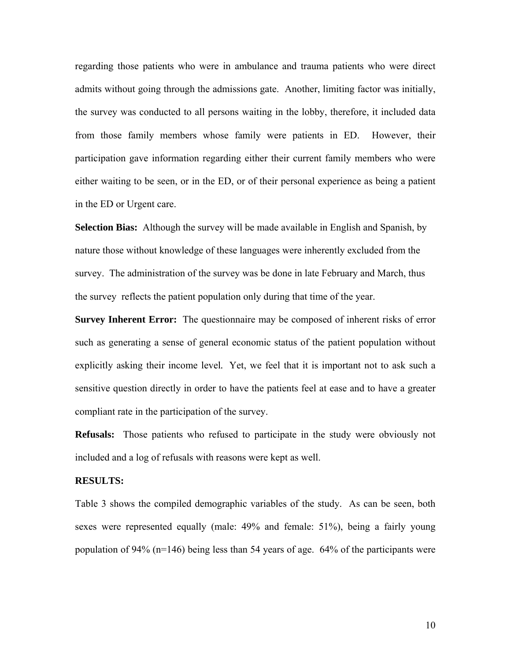regarding those patients who were in ambulance and trauma patients who were direct admits without going through the admissions gate. Another, limiting factor was initially, the survey was conducted to all persons waiting in the lobby, therefore, it included data from those family members whose family were patients in ED. However, their participation gave information regarding either their current family members who were either waiting to be seen, or in the ED, or of their personal experience as being a patient in the ED or Urgent care.

**Selection Bias:** Although the survey will be made available in English and Spanish, by nature those without knowledge of these languages were inherently excluded from the survey. The administration of the survey was be done in late February and March, thus the survey reflects the patient population only during that time of the year.

**Survey Inherent Error:** The questionnaire may be composed of inherent risks of error such as generating a sense of general economic status of the patient population without explicitly asking their income level*.* Yet, we feel that it is important not to ask such a sensitive question directly in order to have the patients feel at ease and to have a greater compliant rate in the participation of the survey.

**Refusals:** Those patients who refused to participate in the study were obviously not included and a log of refusals with reasons were kept as well.

#### **RESULTS:**

Table 3 shows the compiled demographic variables of the study. As can be seen, both sexes were represented equally (male: 49% and female: 51%), being a fairly young population of 94% (n=146) being less than 54 years of age. 64% of the participants were

10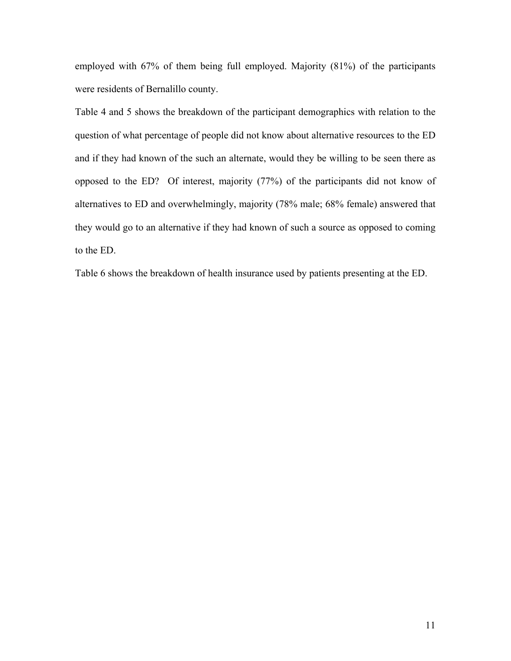employed with 67% of them being full employed. Majority (81%) of the participants were residents of Bernalillo county.

Table 4 and 5 shows the breakdown of the participant demographics with relation to the question of what percentage of people did not know about alternative resources to the ED and if they had known of the such an alternate, would they be willing to be seen there as opposed to the ED? Of interest, majority (77%) of the participants did not know of alternatives to ED and overwhelmingly, majority (78% male; 68% female) answered that they would go to an alternative if they had known of such a source as opposed to coming to the ED.

Table 6 shows the breakdown of health insurance used by patients presenting at the ED.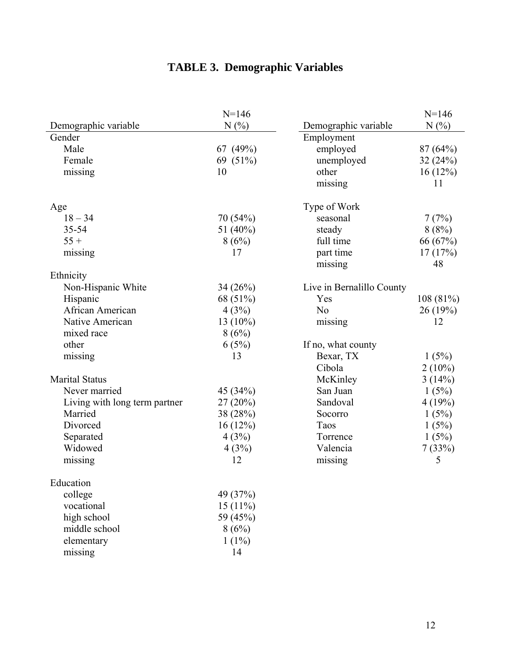## **TABLE 3. Demographic Variables**

|                               | $N = 146$  |                           | $N = 146$ |
|-------------------------------|------------|---------------------------|-----------|
| Demographic variable          | N(%)       | Demographic variable      | N(%)      |
| Gender                        |            | Employment                |           |
| Male                          | 67 (49%)   | employed                  | 87(64%)   |
| Female                        | 69 (51%)   | unemployed                | 32(24%)   |
| missing                       | 10         | other                     | 16(12%)   |
|                               |            | missing                   | 11        |
| Age                           |            | Type of Work              |           |
| $18 - 34$                     | 70 (54%)   | seasonal                  | 7(7%)     |
| 35-54                         | 51 (40%)   | steady                    | 8(8%)     |
| $55 +$                        | 8(6%)      | full time                 | 66 (67%)  |
| missing                       | 17         | part time                 | 17(17%)   |
|                               |            | missing                   | 48        |
| Ethnicity                     |            |                           |           |
| Non-Hispanic White            | 34(26%)    | Live in Bernalillo County |           |
| Hispanic                      | 68 (51%)   | Yes                       | 108 (81%) |
| African American              | 4(3%)      | N <sub>o</sub>            | 26 (19%)  |
| Native American               | $13(10\%)$ | missing                   | 12        |
| mixed race                    | 8(6%)      |                           |           |
| other                         | 6(5%)      | If no, what county        |           |
| missing                       | 13         | Bexar, TX                 | 1(5%)     |
|                               |            | Cibola                    | $2(10\%)$ |
| <b>Marital Status</b>         |            | McKinley                  | 3(14%)    |
| Never married                 | 45 (34%)   | San Juan                  | 1(5%)     |
| Living with long term partner | $27(20\%)$ | Sandoval                  | 4(19%)    |
| Married                       | 38 (28%)   | Socorro                   | 1(5%)     |
| Divorced                      | 16(12%)    | Taos                      | 1(5%)     |
| Separated                     | 4(3%)      | Torrence                  | 1(5%)     |
| Widowed                       | 4(3%)      | Valencia                  | 7(33%)    |
| missing                       | 12         | missing                   | 5         |
| Education                     |            |                           |           |
| college                       | 49 (37%)   |                           |           |
| vocational                    | $15(11\%)$ |                           |           |
| high school                   | 59 (45%)   |                           |           |
| middle school                 | 8(6%)      |                           |           |
| elementary                    | $1(1\%)$   |                           |           |
| missing                       | 14         |                           |           |
|                               |            |                           |           |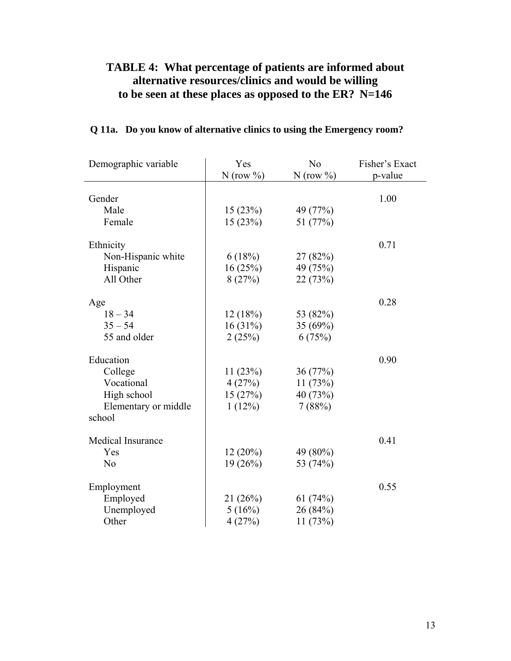## **TABLE 4: What percentage of patients are informed about alternative resources/clinics and would be willing to be seen at these places as opposed to the ER? N=146**

| Demographic variable     | Yes           | N <sub>o</sub> | Fisher's Exact |
|--------------------------|---------------|----------------|----------------|
|                          | N (row $\%$ ) | $N$ (row %)    | p-value        |
|                          |               |                |                |
| Gender                   |               |                | 1.00           |
| Male                     | 15(23%)       | 49 (77%)       |                |
| Female                   | 15(23%)       | 51 (77%)       |                |
| Ethnicity                |               |                | 0.71           |
| Non-Hispanic white       | 6(18%)        | 27 (82%)       |                |
| Hispanic                 | 16(25%)       | 49 (75%)       |                |
| All Other                | 8(27%)        | 22 (73%)       |                |
| Age                      |               |                | 0.28           |
| $18 - 34$                | 12(18%)       | 53 (82%)       |                |
| $35 - 54$                | 16(31%)       | 35 (69%)       |                |
| 55 and older             | 2(25%)        | 6(75%)         |                |
|                          |               |                |                |
| Education                |               |                | 0.90           |
| College                  | 11(23%)       | 36 (77%)       |                |
| Vocational               | 4(27%)        | 11(73%)        |                |
| High school              | 15(27%)       | 40 (73%)       |                |
| Elementary or middle     | 1(12%)        | 7(88%)         |                |
| school                   |               |                |                |
| <b>Medical Insurance</b> |               |                | 0.41           |
| Yes                      | $12(20\%)$    | 49 (80%)       |                |
| N <sub>o</sub>           | 19(26%)       | 53 (74%)       |                |
|                          |               |                |                |
| Employment               |               |                | 0.55           |
| Employed                 | 21(26%)       | 61(74%)        |                |
| Unemployed               | 5(16%)        | 26 (84%)       |                |
| Other                    | 4(27%)        | 11(73%)        |                |

## **Q 11a. Do you know of alternative clinics to using the Emergency room?**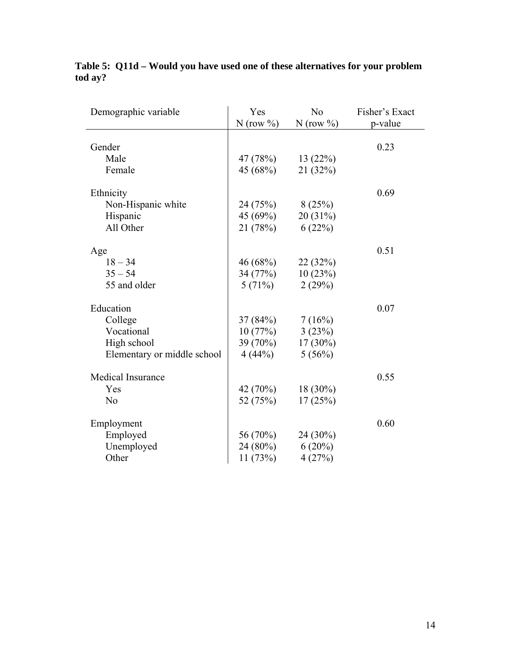| Demographic variable        | Yes<br>N (row $\%$ ) | N <sub>o</sub><br>$N$ (row %) | Fisher's Exact<br>p-value |
|-----------------------------|----------------------|-------------------------------|---------------------------|
|                             |                      |                               |                           |
| Gender                      |                      |                               | 0.23                      |
| Male                        | 47 (78%)             | 13(22%)                       |                           |
| Female                      | 45 (68%)             | 21(32%)                       |                           |
| Ethnicity                   |                      |                               | 0.69                      |
| Non-Hispanic white          | 24 (75%)             | 8(25%)                        |                           |
| Hispanic                    | 45 (69%)             | 20(31%)                       |                           |
| All Other                   | 21 (78%)             | 6(22%)                        |                           |
| Age                         |                      |                               | 0.51                      |
| $18 - 34$                   | 46 (68%)             | 22 (32%)                      |                           |
| $35 - 54$                   | 34 (77%)             | 10(23%)                       |                           |
| 55 and older                | 5(71%)               | 2(29%)                        |                           |
| Education                   |                      |                               | 0.07                      |
| College                     | $37(84%)$ $7(16%)$   |                               |                           |
| Vocational                  | 10(77%)              | 3(23%)                        |                           |
| High school                 | 39 (70%)             | $17(30\%)$                    |                           |
| Elementary or middle school | 4(44%)               | 5(56%)                        |                           |
| <b>Medical Insurance</b>    |                      |                               | 0.55                      |
| Yes                         | 42 (70%)             | $18(30\%)$                    |                           |
| N <sub>o</sub>              | 52 (75%)             | 17(25%)                       |                           |
| Employment                  |                      |                               | 0.60                      |
| Employed                    | 56 (70%)             | 24 (30%)                      |                           |
| Unemployed                  | 24 (80%)             | $6(20\%)$                     |                           |
| Other                       | 11(73%)              | 4(27%)                        |                           |

## **Table 5: Q11d – Would you have used one of these alternatives for your problem tod ay?**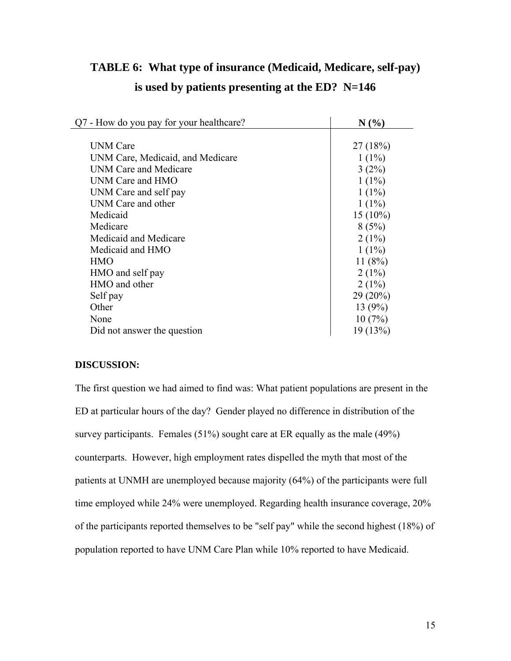| Q7 - How do you pay for your healthcare? | N(%        |
|------------------------------------------|------------|
|                                          |            |
| <b>UNM</b> Care                          | 27(18%)    |
| UNM Care, Medicaid, and Medicare         | $1(1\%)$   |
| UNM Care and Medicare                    | $3(2\%)$   |
| UNM Care and HMO                         | $1(1\%)$   |
| UNM Care and self pay                    | $1(1\%)$   |
| <b>UNM Care and other</b>                | $1(1\%)$   |
| Medicaid                                 | $15(10\%)$ |
| Medicare                                 | 8(5%)      |
| Medicaid and Medicare                    | $2(1\%)$   |
| Medicaid and HMO                         | $1(1\%)$   |
| <b>HMO</b>                               | 11(8%)     |
| HMO and self pay                         | $2(1\%)$   |
| HMO and other                            | $2(1\%)$   |
| Self pay                                 | $29(20\%)$ |
| Other                                    | 13(9%)     |
| None                                     | 10(7%)     |
| Did not answer the question              | 19(13%)    |
|                                          |            |

# **TABLE 6: What type of insurance (Medicaid, Medicare, self-pay)**

## **is used by patients presenting at the ED? N=146**

### **DISCUSSION:**

The first question we had aimed to find was: What patient populations are present in the ED at particular hours of the day? Gender played no difference in distribution of the survey participants. Females (51%) sought care at ER equally as the male (49%) counterparts. However, high employment rates dispelled the myth that most of the patients at UNMH are unemployed because majority (64%) of the participants were full time employed while 24% were unemployed. Regarding health insurance coverage, 20% of the participants reported themselves to be "self pay" while the second highest (18%) of population reported to have UNM Care Plan while 10% reported to have Medicaid.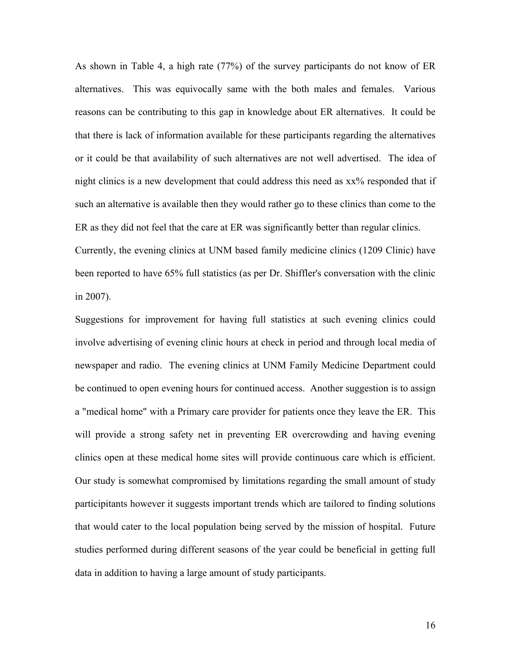As shown in Table 4, a high rate (77%) of the survey participants do not know of ER alternatives. This was equivocally same with the both males and females. Various reasons can be contributing to this gap in knowledge about ER alternatives. It could be that there is lack of information available for these participants regarding the alternatives or it could be that availability of such alternatives are not well advertised. The idea of night clinics is a new development that could address this need as xx% responded that if such an alternative is available then they would rather go to these clinics than come to the ER as they did not feel that the care at ER was significantly better than regular clinics. Currently, the evening clinics at UNM based family medicine clinics (1209 Clinic) have been reported to have 65% full statistics (as per Dr. Shiffler's conversation with the clinic in 2007).

Suggestions for improvement for having full statistics at such evening clinics could involve advertising of evening clinic hours at check in period and through local media of newspaper and radio. The evening clinics at UNM Family Medicine Department could be continued to open evening hours for continued access. Another suggestion is to assign a "medical home" with a Primary care provider for patients once they leave the ER. This will provide a strong safety net in preventing ER overcrowding and having evening clinics open at these medical home sites will provide continuous care which is efficient. Our study is somewhat compromised by limitations regarding the small amount of study participitants however it suggests important trends which are tailored to finding solutions that would cater to the local population being served by the mission of hospital. Future studies performed during different seasons of the year could be beneficial in getting full data in addition to having a large amount of study participants.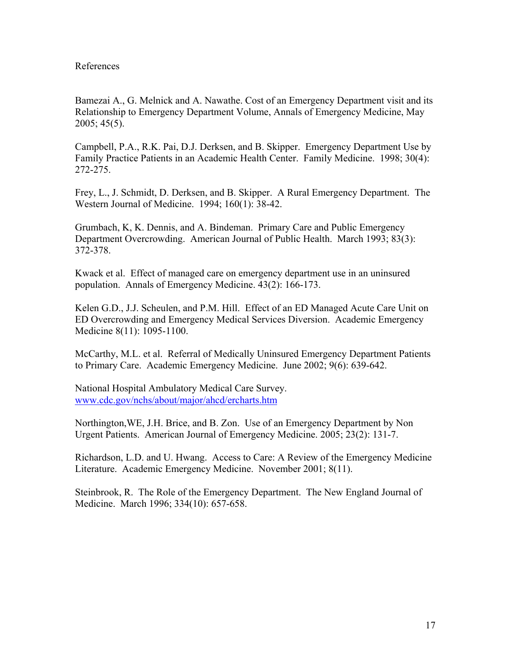#### References

Bamezai A., G. Melnick and A. Nawathe. Cost of an Emergency Department visit and its Relationship to Emergency Department Volume, Annals of Emergency Medicine, May 2005; 45(5).

Campbell, P.A., R.K. Pai, D.J. Derksen, and B. Skipper. Emergency Department Use by Family Practice Patients in an Academic Health Center. Family Medicine. 1998; 30(4): 272-275.

Frey, L., J. Schmidt, D. Derksen, and B. Skipper. A Rural Emergency Department. The Western Journal of Medicine. 1994; 160(1): 38-42.

Grumbach, K, K. Dennis, and A. Bindeman. Primary Care and Public Emergency Department Overcrowding. American Journal of Public Health. March 1993; 83(3): 372-378.

Kwack et al. Effect of managed care on emergency department use in an uninsured population. Annals of Emergency Medicine. 43(2): 166-173.

Kelen G.D., J.J. Scheulen, and P.M. Hill. Effect of an ED Managed Acute Care Unit on ED Overcrowding and Emergency Medical Services Diversion. Academic Emergency Medicine 8(11): 1095-1100.

McCarthy, M.L. et al. Referral of Medically Uninsured Emergency Department Patients to Primary Care. Academic Emergency Medicine. June 2002; 9(6): 639-642.

National Hospital Ambulatory Medical Care Survey. [www.cdc.gov/nchs/about/major/ahcd/ercharts.htm](http://www.cdc.gov/nchs/about/major/ahcd/ercharts.htm)

Northington,WE, J.H. Brice, and B. Zon. Use of an Emergency Department by Non Urgent Patients. American Journal of Emergency Medicine. 2005; 23(2): 131-7.

Richardson, L.D. and U. Hwang. Access to Care: A Review of the Emergency Medicine Literature. Academic Emergency Medicine. November 2001; 8(11).

Steinbrook, R. The Role of the Emergency Department. The New England Journal of Medicine. March 1996; 334(10): 657-658.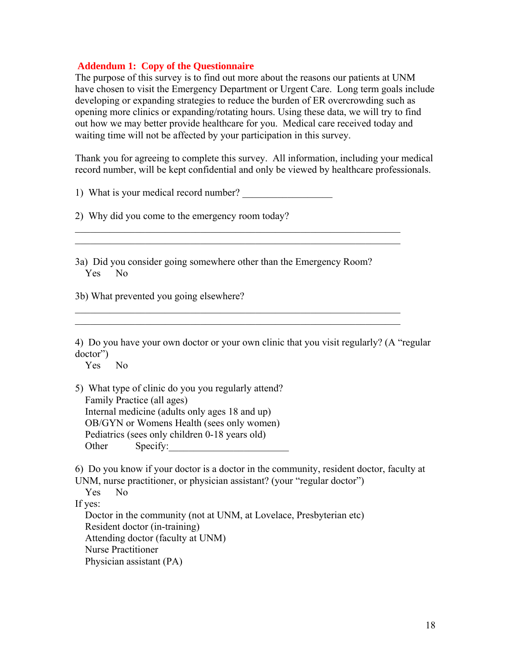#### **Addendum 1: Copy of the Questionnaire**

The purpose of this survey is to find out more about the reasons our patients at UNM have chosen to visit the Emergency Department or Urgent Care. Long term goals include developing or expanding strategies to reduce the burden of ER overcrowding such as opening more clinics or expanding/rotating hours. Using these data, we will try to find out how we may better provide healthcare for you. Medical care received today and waiting time will not be affected by your participation in this survey.

Thank you for agreeing to complete this survey. All information, including your medical record number, will be kept confidential and only be viewed by healthcare professionals.

1) What is your medical record number?

2) Why did you come to the emergency room today?

3a) Did you consider going somewhere other than the Emergency Room? Yes No

 $\mathcal{L}_\text{max} = \frac{1}{2} \sum_{i=1}^n \mathcal{L}_\text{max}(\mathbf{z}_i - \mathbf{z}_i)$  $\_$  , and the set of the set of the set of the set of the set of the set of the set of the set of the set of the set of the set of the set of the set of the set of the set of the set of the set of the set of the set of th

 $\_$  , and the set of the set of the set of the set of the set of the set of the set of the set of the set of the set of the set of the set of the set of the set of the set of the set of the set of the set of the set of th  $\_$  , and the set of the set of the set of the set of the set of the set of the set of the set of the set of the set of the set of the set of the set of the set of the set of the set of the set of the set of the set of th

3b) What prevented you going elsewhere?

4) Do you have your own doctor or your own clinic that you visit regularly? (A "regular doctor")

Yes No

5) What type of clinic do you you regularly attend? Family Practice (all ages) Internal medicine (adults only ages 18 and up) OB/GYN or Womens Health (sees only women) Pediatrics (sees only children 0-18 years old) Other Specify:

6) Do you know if your doctor is a doctor in the community, resident doctor, faculty at UNM, nurse practitioner, or physician assistant? (your "regular doctor")

 Yes No If yes: Doctor in the community (not at UNM, at Lovelace, Presbyterian etc) Resident doctor (in-training) Attending doctor (faculty at UNM) Nurse Practitioner Physician assistant (PA)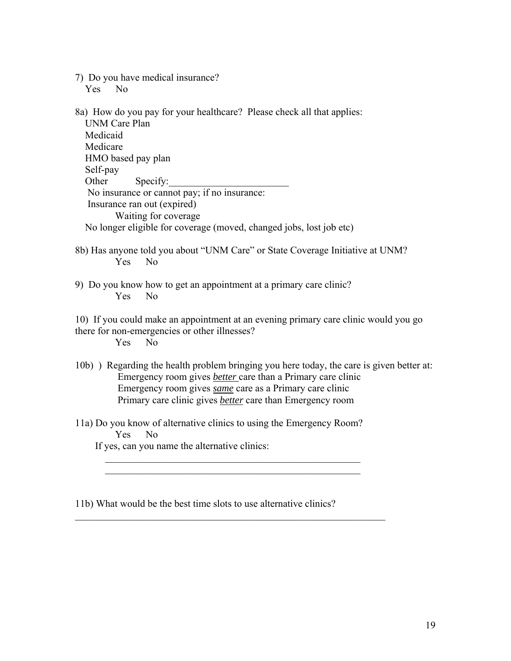7) Do you have medical insurance?

Yes No

8a) How do you pay for your healthcare? Please check all that applies: UNM Care Plan Medicaid Medicare HMO based pay plan Self-pay Other Specify: No insurance or cannot pay; if no insurance: Insurance ran out (expired) Waiting for coverage No longer eligible for coverage (moved, changed jobs, lost job etc)

- 8b) Has anyone told you about "UNM Care" or State Coverage Initiative at UNM? Yes No
- 9) Do you know how to get an appointment at a primary care clinic? Yes No

10) If you could make an appointment at an evening primary care clinic would you go there for non-emergencies or other illnesses? Yes No

- 10b) ) Regarding the health problem bringing you here today, the care is given better at: Emergency room gives *better* care than a Primary care clinic Emergency room gives *same* care as a Primary care clinic Primary care clinic gives *better* care than Emergency room
- 11a) Do you know of alternative clinics to using the Emergency Room? Yes No

 $\mathcal{L}_\text{max} = \frac{1}{2} \sum_{i=1}^{n} \frac{1}{2} \sum_{i=1}^{n} \frac{1}{2} \sum_{i=1}^{n} \frac{1}{2} \sum_{i=1}^{n} \frac{1}{2} \sum_{i=1}^{n} \frac{1}{2} \sum_{i=1}^{n} \frac{1}{2} \sum_{i=1}^{n} \frac{1}{2} \sum_{i=1}^{n} \frac{1}{2} \sum_{i=1}^{n} \frac{1}{2} \sum_{i=1}^{n} \frac{1}{2} \sum_{i=1}^{n} \frac{1}{2} \sum_{i=1}^{n} \frac{1$  $\mathcal{L}_\text{max} = \frac{1}{2} \sum_{i=1}^{n} \frac{1}{2} \sum_{i=1}^{n} \frac{1}{2} \sum_{i=1}^{n} \frac{1}{2} \sum_{i=1}^{n} \frac{1}{2} \sum_{i=1}^{n} \frac{1}{2} \sum_{i=1}^{n} \frac{1}{2} \sum_{i=1}^{n} \frac{1}{2} \sum_{i=1}^{n} \frac{1}{2} \sum_{i=1}^{n} \frac{1}{2} \sum_{i=1}^{n} \frac{1}{2} \sum_{i=1}^{n} \frac{1}{2} \sum_{i=1}^{n} \frac{1$ 

 $\mathcal{L}_\text{max}$  , and the contribution of the contribution of the contribution of the contribution of the contribution of the contribution of the contribution of the contribution of the contribution of the contribution of t

If yes, can you name the alternative clinics:

11b) What would be the best time slots to use alternative clinics?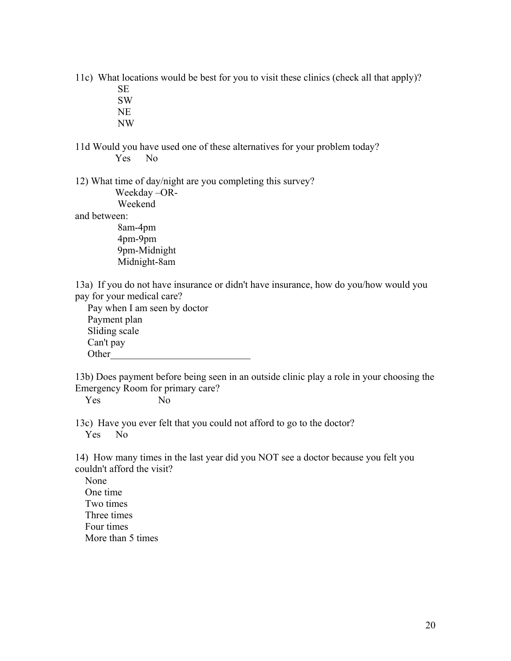11c) What locations would be best for you to visit these clinics (check all that apply)?

 SE SW

NE

NW

11d Would you have used one of these alternatives for your problem today? Yes No

12) What time of day/night are you completing this survey?

Weekday –OR-

Weekend

and between:

 8am-4pm 4pm-9pm 9pm-Midnight Midnight-8am

13a) If you do not have insurance or didn't have insurance, how do you/how would you pay for your medical care?

 Pay when I am seen by doctor Payment plan Sliding scale Can't pay Other

13b) Does payment before being seen in an outside clinic play a role in your choosing the Emergency Room for primary care?

Yes No

13c) Have you ever felt that you could not afford to go to the doctor? Yes No

14) How many times in the last year did you NOT see a doctor because you felt you couldn't afford the visit?

 None One time Two times Three times Four times More than 5 times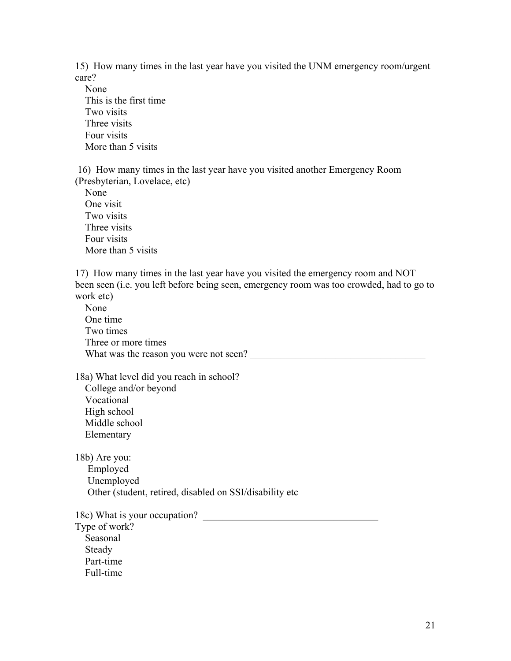15) How many times in the last year have you visited the UNM emergency room/urgent care?

 None This is the first time Two visits Three visits Four visits More than 5 visits

 16) How many times in the last year have you visited another Emergency Room (Presbyterian, Lovelace, etc)

 None One visit Two visits Three visits Four visits More than 5 visits

17) How many times in the last year have you visited the emergency room and NOT been seen (i.e. you left before being seen, emergency room was too crowded, had to go to work etc)

 None One time Two times Three or more times What was the reason you were not seen? \_\_\_\_\_\_\_\_\_\_\_\_\_\_\_\_\_\_\_\_\_\_\_\_\_\_\_\_\_\_\_\_\_\_\_

18a) What level did you reach in school?

 College and/or beyond Vocational High school Middle school Elementary

18b) Are you: Employed Unemployed Other (student, retired, disabled on SSI/disability etc

18c) What is your occupation? Type of work? Seasonal Steady

Part-time

Full-time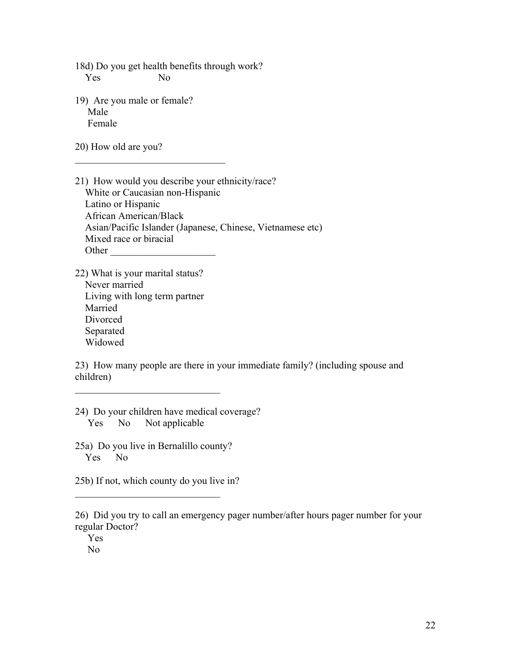18d) Do you get health benefits through work? Yes No

19) Are you male or female? Male Female

 $\mathcal{L}_\text{max}$  , where  $\mathcal{L}_\text{max}$  and  $\mathcal{L}_\text{max}$ 

20) How old are you?

- 21) How would you describe your ethnicity/race? White or Caucasian non-Hispanic Latino or Hispanic African American/Black Asian/Pacific Islander (Japanese, Chinese, Vietnamese etc) Mixed race or biracial Other
- 22) What is your marital status? Never married Living with long term partner Married Divorced Separated Widowed

23) How many people are there in your immediate family? (including spouse and children)

- 24) Do your children have medical coverage? Yes No Not applicable
- 25a) Do you live in Bernalillo county? Yes No

 $\mathcal{L}_\text{max}$ 

25b) If not, which county do you live in?

 $\mathcal{L}_\text{max}$  , and the set of the set of the set of the set of the set of the set of the set of the set of the set of the set of the set of the set of the set of the set of the set of the set of the set of the set of the

26) Did you try to call an emergency pager number/after hours pager number for your regular Doctor?

 Yes No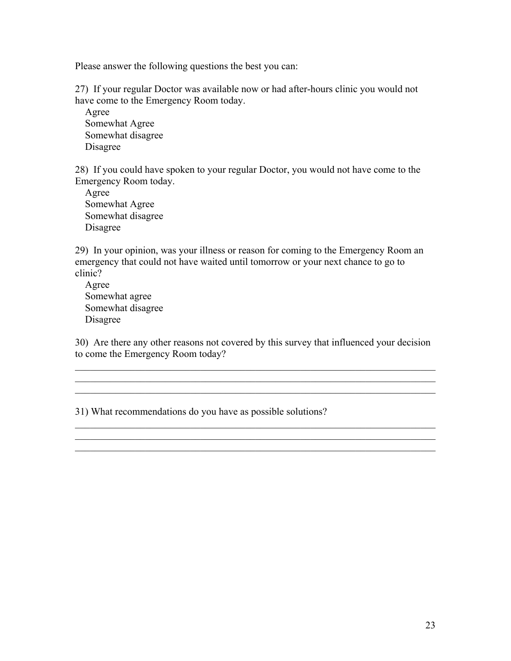Please answer the following questions the best you can:

27) If your regular Doctor was available now or had after-hours clinic you would not have come to the Emergency Room today.

 Agree Somewhat Agree Somewhat disagree Disagree

28) If you could have spoken to your regular Doctor, you would not have come to the Emergency Room today.

 Agree Somewhat Agree Somewhat disagree Disagree

29) In your opinion, was your illness or reason for coming to the Emergency Room an emergency that could not have waited until tomorrow or your next chance to go to clinic?

 Agree Somewhat agree Somewhat disagree Disagree

30) Are there any other reasons not covered by this survey that influenced your decision to come the Emergency Room today?

 $\mathcal{L}_\text{max}$  , and the contribution of the contribution of the contribution of the contribution of the contribution of the contribution of the contribution of the contribution of the contribution of the contribution of t

 $\mathcal{L}_\text{max}$  , and the contribution of the contribution of the contribution of the contribution of the contribution of the contribution of the contribution of the contribution of the contribution of the contribution of t

 $\mathcal{L}_\text{max} = \mathcal{L}_\text{max} = \mathcal{L}_\text{max} = \mathcal{L}_\text{max} = \mathcal{L}_\text{max} = \mathcal{L}_\text{max} = \mathcal{L}_\text{max} = \mathcal{L}_\text{max} = \mathcal{L}_\text{max} = \mathcal{L}_\text{max} = \mathcal{L}_\text{max} = \mathcal{L}_\text{max} = \mathcal{L}_\text{max} = \mathcal{L}_\text{max} = \mathcal{L}_\text{max} = \mathcal{L}_\text{max} = \mathcal{L}_\text{max} = \mathcal{L}_\text{max} = \mathcal{$ 

\_\_\_\_\_\_\_\_\_\_\_\_\_\_\_\_\_\_\_\_\_\_\_\_\_\_\_\_\_\_\_\_\_\_\_\_\_\_\_\_\_\_\_\_\_\_\_\_\_\_\_\_\_\_\_\_\_\_\_\_\_\_\_\_\_\_\_\_\_\_\_\_

31) What recommendations do you have as possible solutions?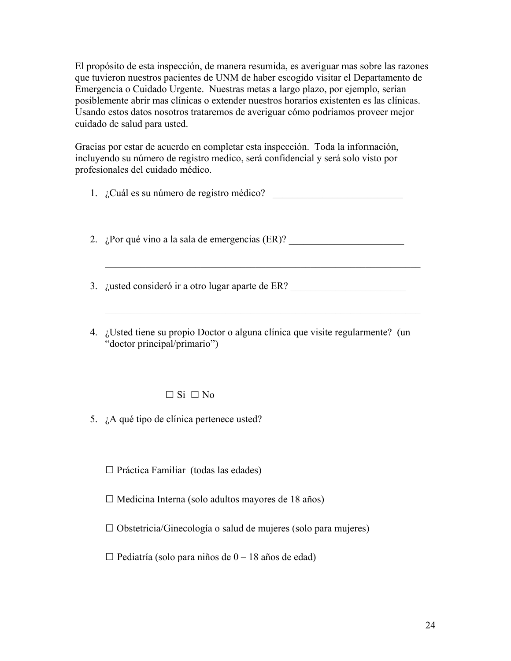El propósito de esta inspección, de manera resumida, es averiguar mas sobre las razones que tuvieron nuestros pacientes de UNM de haber escogido visitar el Departamento de Emergencia o Cuidado Urgente. Nuestras metas a largo plazo, por ejemplo, serían posiblemente abrir mas clínicas o extender nuestros horarios existenten es las clínicas. Usando estos datos nosotros trataremos de averiguar cómo podríamos proveer mejor cuidado de salud para usted.

Gracias por estar de acuerdo en completar esta inspección. Toda la información, incluyendo su número de registro medico, será confidencial y será solo visto por profesionales del cuidado médico.

1. ¿Cuál es su número de registro médico? \_\_\_\_\_\_\_\_\_\_\_\_\_\_\_\_\_\_\_\_\_\_\_\_\_\_

2.  $i$ Por qué vino a la sala de emergencias (ER)?

 $\mathcal{L}_\text{max}$  , and the contribution of the contribution of the contribution of the contribution of the contribution of the contribution of the contribution of the contribution of the contribution of the contribution of t

 $\mathcal{L}_\text{max}$  , and the contribution of the contribution of the contribution of the contribution of the contribution of the contribution of the contribution of the contribution of the contribution of the contribution of t

3. ¿usted consideró ir a otro lugar aparte de ER? \_\_\_\_\_\_\_\_\_\_\_\_\_\_\_\_\_\_\_\_\_\_\_\_\_\_\_\_\_\_

4. ¿Usted tiene su propio Doctor o alguna clínica que visite regularmente? (un "doctor principal/primario")

## $\Box$  Si  $\Box$  No

5. ¿A qué tipo de clínica pertenece usted?

 $\square$  Práctica Familiar (todas las edades)

□ Medicina Interna (solo adultos mayores de 18 años)

 $\square$  Obstetricia/Ginecología o salud de mujeres (solo para mujeres)

 $\Box$  Pediatría (solo para niños de 0 – 18 años de edad)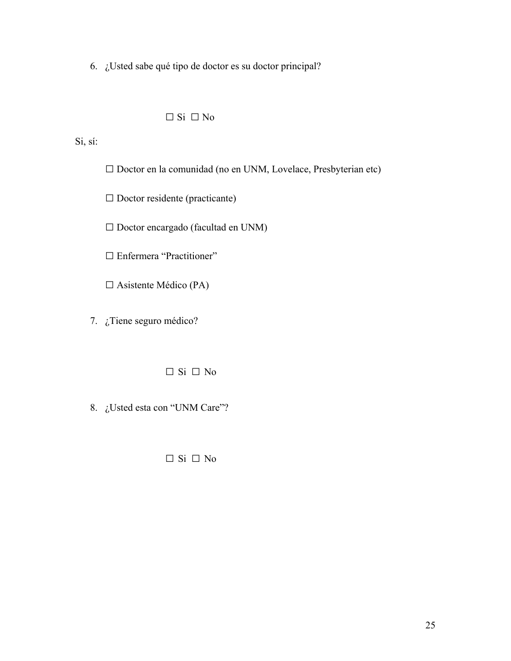6. ¿Usted sabe qué tipo de doctor es su doctor principal?

## $\Box$  Si  $\Box$  No

Si, sí:

□ Doctor en la comunidad (no en UNM, Lovelace, Presbyterian etc)

□ Doctor residente (practicante)

□ Doctor encargado (facultad en UNM)

□ Enfermera "Practitioner"

□ Asistente Médico (PA)

7. ¿Tiene seguro médico?

□ Si □ No

8. ¿Usted esta con "UNM Care"?

□ Si □ No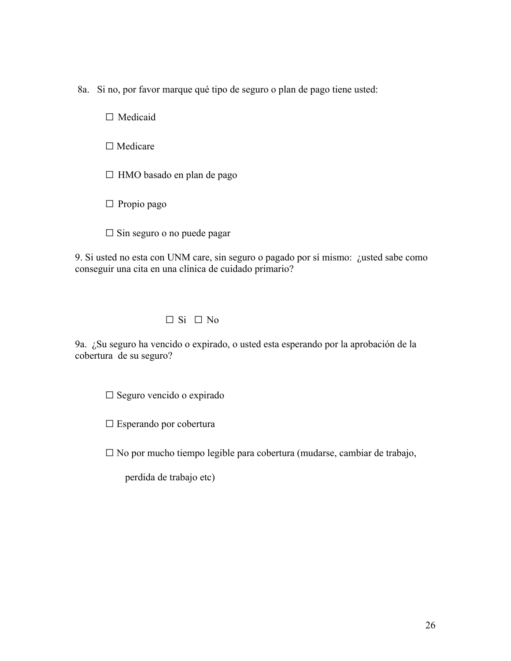8a. Si no, por favor marque qué tipo de seguro o plan de pago tiene usted:

□ Medicaid

□ Medicare

 $\square$  HMO basado en plan de pago

□ Propio pago

 $\square$  Sin seguro o no puede pagar

9. Si usted no esta con UNM care, sin seguro o pagado por sí mismo: ¿usted sabe como conseguir una cita en una clínica de cuidado primario?

## $\Box$  Si  $\Box$  No

9a. ¿Su seguro ha vencido o expirado, o usted esta esperando por la aprobación de la cobertura de su seguro?

□ Seguro vencido o expirado

□ Esperando por cobertura

□ No por mucho tiempo legible para cobertura (mudarse, cambiar de trabajo,

perdida de trabajo etc)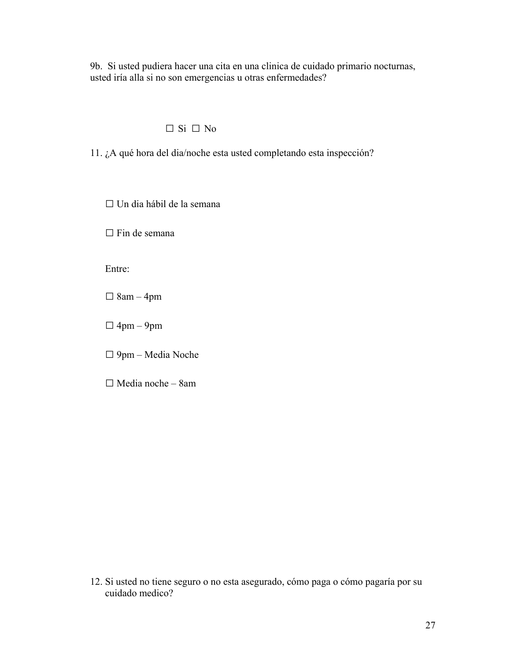9b. Si usted pudiera hacer una cita en una clinica de cuidado primario nocturnas, usted iría alla si no son emergencias u otras enfermedades?

## $\Box$  Si  $\Box$  No

11. ¿A qué hora del dia/noche esta usted completando esta inspección?

□ Un dia hábil de la semana

□ Fin de semana

Entre:

 $\square$  8am – 4pm

 $\square$  4pm – 9pm

□ 9pm – Media Noche

□ Media noche – 8am

12. Si usted no tiene seguro o no esta asegurado, cómo paga o cómo pagaría por su cuidado medico?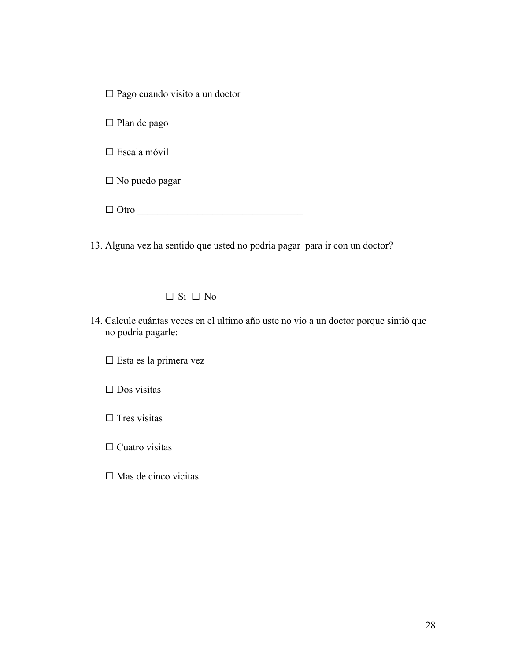□ Pago cuando visito a un doctor

□ Plan de pago

□ Escala móvil

□ No puedo pagar

 $\Box$  Otro

13. Alguna vez ha sentido que usted no podria pagar para ir con un doctor?

#### $\Box$  Si  $\Box$  No

14. Calcule cuántas veces en el ultimo año uste no vio a un doctor porque sintió que no podría pagarle:

□ Esta es la primera vez

□ Dos visitas

□ Tres visitas

 $\Box$  Cuatro visitas

□ Mas de cinco vicitas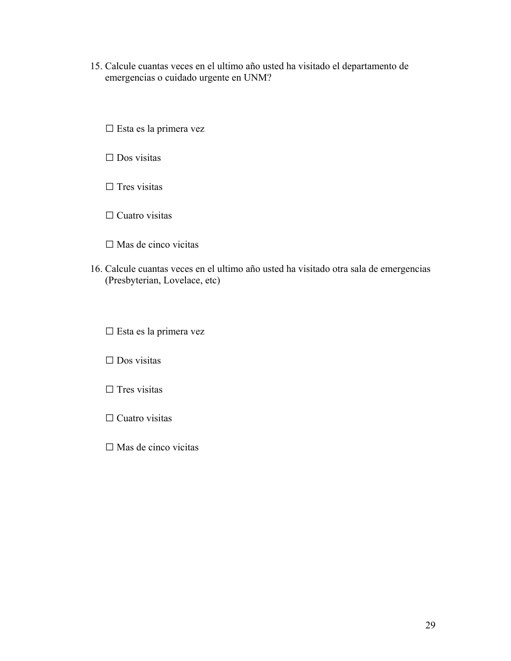15. Calcule cuantas veces en el ultimo año usted ha visitado el departamento de emergencias o cuidado urgente en UNM?

□ Esta es la primera vez

□ Dos visitas

 $\square$  Tres visitas

□ Cuatro visitas

□ Mas de cinco vicitas

16. Calcule cuantas veces en el ultimo año usted ha visitado otra sala de emergencias (Presbyterian, Lovelace, etc)

□ Esta es la primera vez

□ Dos visitas

□ Tres visitas

□ Cuatro visitas

□ Mas de cinco vicitas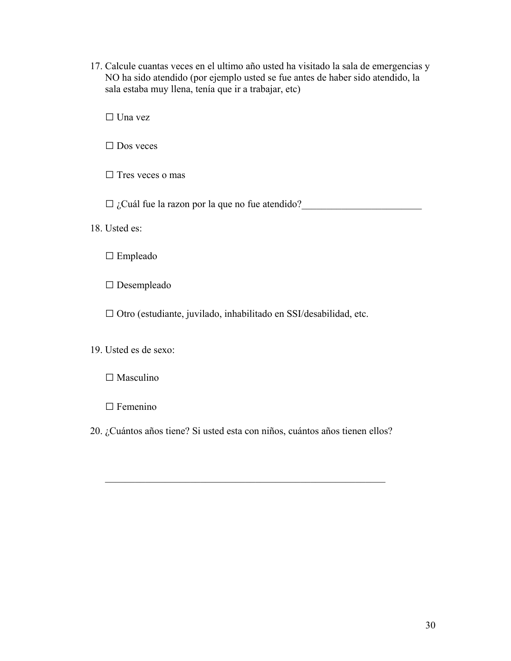17. Calcule cuantas veces en el ultimo año usted ha visitado la sala de emergencias y NO ha sido atendido (por ejemplo usted se fue antes de haber sido atendido, la sala estaba muy llena, tenía que ir a trabajar, etc)

□ Una vez

□ Dos veces

□ Tres veces o mas

 $\Box$  ¿Cuál fue la razon por la que no fue atendido?

18. Usted es:

□ Empleado

□ Desempleado

□ Otro (estudiante, juvilado, inhabilitado en SSI/desabilidad, etc.

19. Usted es de sexo:

□ Masculino

□ Femenino

20. ¿Cuántos años tiene? Si usted esta con niños, cuántos años tienen ellos?

 $\mathcal{L}_\text{max}$  , and the contribution of the contribution of the contribution of the contribution of the contribution of the contribution of the contribution of the contribution of the contribution of the contribution of t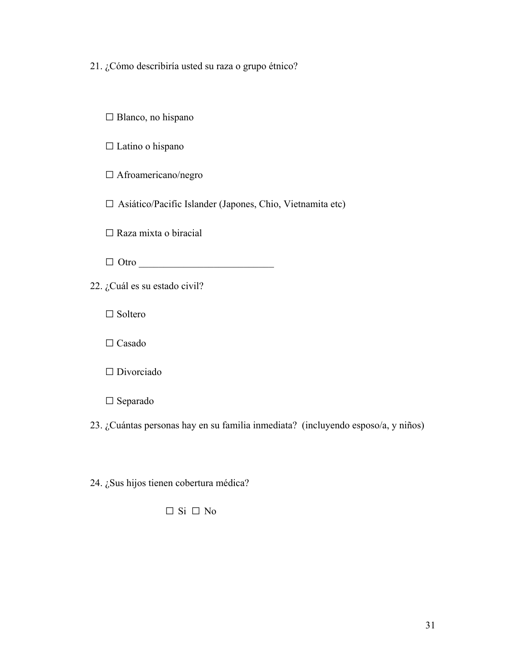21. ¿Cómo describiría usted su raza o grupo étnico?

□ Blanco, no hispano

□ Latino o hispano

□ Afroamericano/negro

□ Asiático/Pacific Islander (Japones, Chio, Vietnamita etc)

 $\square$  Raza mixta o biracial

 $\Box$  Otro  $\Box$ 

22. ¿Cuál es su estado civil?

□ Soltero

□ Casado

□ Divorciado

□ Separado

23. ¿Cuántas personas hay en su familia inmediata? (incluyendo esposo/a, y niños)

24. ¿Sus hijos tienen cobertura médica?

□ Si □ No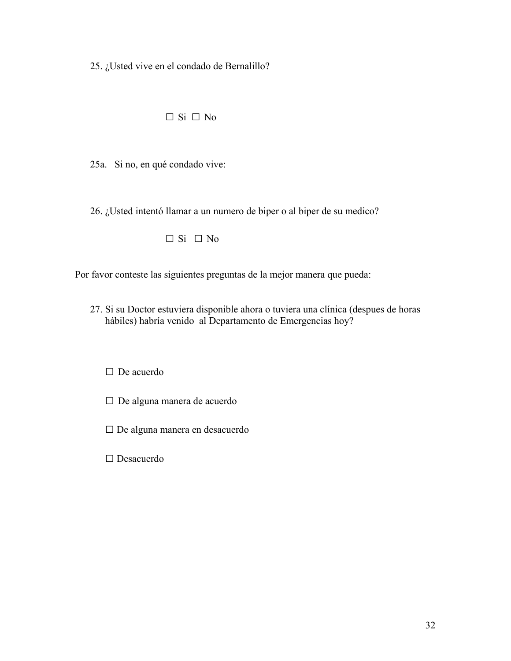25. ¿Usted vive en el condado de Bernalillo?

## $\Box$  Si  $\Box$  No

25a. Si no, en qué condado vive:

26. ¿Usted intentó llamar a un numero de biper o al biper de su medico?

□ Si □ No

Por favor conteste las siguientes preguntas de la mejor manera que pueda:

27. Si su Doctor estuviera disponible ahora o tuviera una clínica (despues de horas hábiles) habría venido al Departamento de Emergencias hoy?

□ De acuerdo

- □ De alguna manera de acuerdo
- □ De alguna manera en desacuerdo

□ Desacuerdo